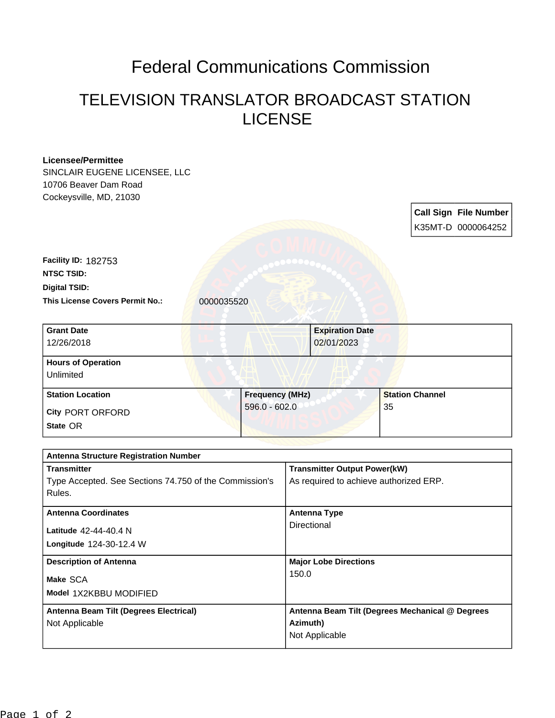## Federal Communications Commission

## TELEVISION TRANSLATOR BROADCAST STATION LICENSE

| <b>Licensee/Permittee</b>                              |                        |                 |                                                 |                        |    |  |                              |  |
|--------------------------------------------------------|------------------------|-----------------|-------------------------------------------------|------------------------|----|--|------------------------------|--|
| SINCLAIR EUGENE LICENSEE, LLC                          |                        |                 |                                                 |                        |    |  |                              |  |
| 10706 Beaver Dam Road                                  |                        |                 |                                                 |                        |    |  |                              |  |
| Cockeysville, MD, 21030                                |                        |                 |                                                 |                        |    |  |                              |  |
|                                                        |                        |                 |                                                 |                        |    |  | <b>Call Sign File Number</b> |  |
|                                                        |                        |                 |                                                 |                        |    |  | K35MT-D 0000064252           |  |
|                                                        |                        |                 |                                                 |                        |    |  |                              |  |
|                                                        |                        |                 |                                                 |                        |    |  |                              |  |
| Facility ID: 182753                                    |                        |                 |                                                 |                        |    |  |                              |  |
| <b>NTSC TSID:</b>                                      |                        |                 |                                                 |                        |    |  |                              |  |
| <b>Digital TSID:</b>                                   |                        |                 |                                                 |                        |    |  |                              |  |
| This License Covers Permit No.:                        | 0000035520             |                 |                                                 |                        |    |  |                              |  |
| <b>Grant Date</b>                                      |                        |                 |                                                 | <b>Expiration Date</b> |    |  |                              |  |
| 12/26/2018                                             |                        |                 | 02/01/2023                                      |                        |    |  |                              |  |
|                                                        |                        |                 |                                                 |                        |    |  |                              |  |
| <b>Hours of Operation</b>                              |                        |                 |                                                 |                        |    |  |                              |  |
| Unlimited                                              |                        |                 |                                                 |                        |    |  |                              |  |
| <b>Station Location</b>                                | <b>Frequency (MHz)</b> |                 |                                                 | <b>Station Channel</b> |    |  |                              |  |
| <b>City PORT ORFORD</b>                                |                        | $596.0 - 602.0$ |                                                 |                        | 35 |  |                              |  |
| State OR                                               |                        |                 |                                                 |                        |    |  |                              |  |
|                                                        |                        |                 |                                                 |                        |    |  |                              |  |
| <b>Antenna Structure Registration Number</b>           |                        |                 |                                                 |                        |    |  |                              |  |
| <b>Transmitter</b>                                     |                        |                 | <b>Transmitter Output Power(kW)</b>             |                        |    |  |                              |  |
| Type Accepted. See Sections 74.750 of the Commission's |                        |                 | As required to achieve authorized ERP.          |                        |    |  |                              |  |
| Rules.                                                 |                        |                 |                                                 |                        |    |  |                              |  |
| <b>Antenna Coordinates</b>                             |                        |                 | <b>Antenna Type</b>                             |                        |    |  |                              |  |
| Latitude 42-44-40.4 N                                  |                        |                 | <b>Directional</b>                              |                        |    |  |                              |  |
| Longitude 124-30-12.4 W                                |                        |                 |                                                 |                        |    |  |                              |  |
|                                                        |                        |                 |                                                 |                        |    |  |                              |  |
| <b>Description of Antenna</b>                          |                        |                 | <b>Major Lobe Directions</b><br>150.0           |                        |    |  |                              |  |
| Make SCA                                               |                        |                 |                                                 |                        |    |  |                              |  |
| Model 1X2KBBU MODIFIED                                 |                        |                 |                                                 |                        |    |  |                              |  |
| Antenna Beam Tilt (Degrees Electrical)                 |                        |                 | Antenna Beam Tilt (Degrees Mechanical @ Degrees |                        |    |  |                              |  |
| Not Applicable                                         |                        |                 | Azimuth)                                        |                        |    |  |                              |  |
|                                                        |                        |                 | Not Applicable                                  |                        |    |  |                              |  |
|                                                        |                        |                 |                                                 |                        |    |  |                              |  |